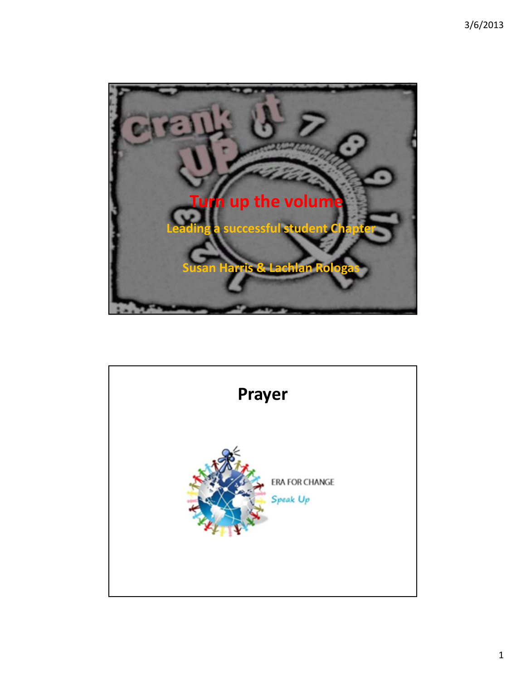

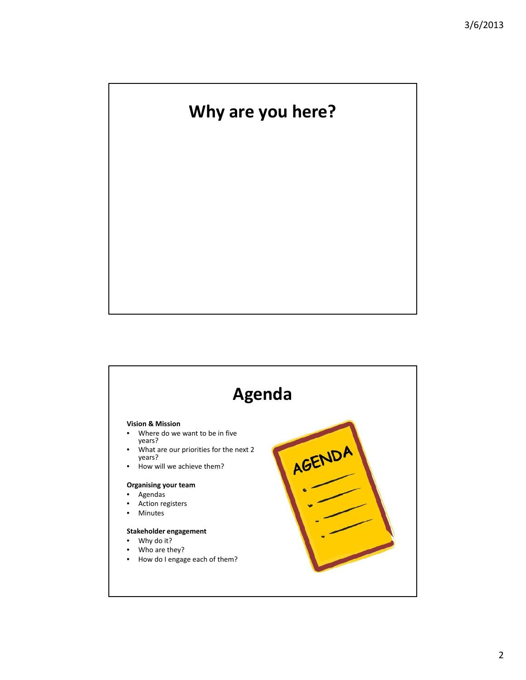# **Why are you here?**

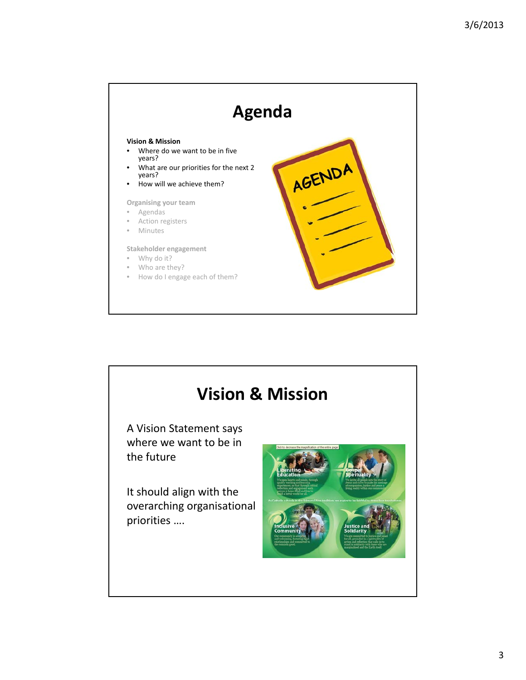

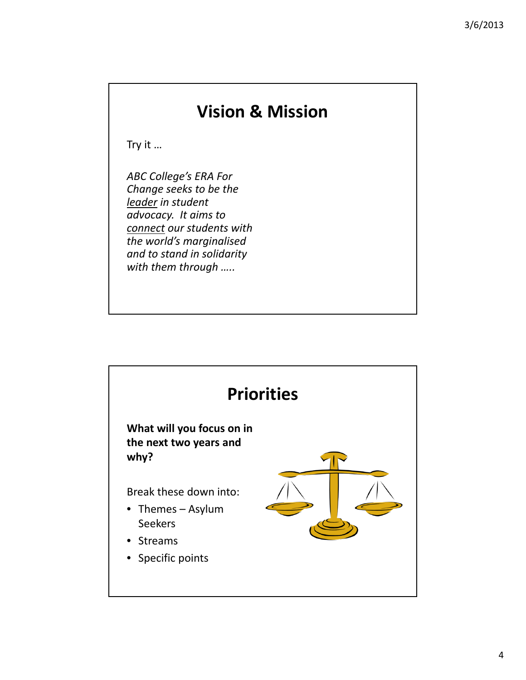### **Vision & Mission**

Try it …

*ABC College's ERA For Change seeks to be the leader in student advocacy. It aims to connect our students with the world's marginalised and to stand in solidarity with them through …..*

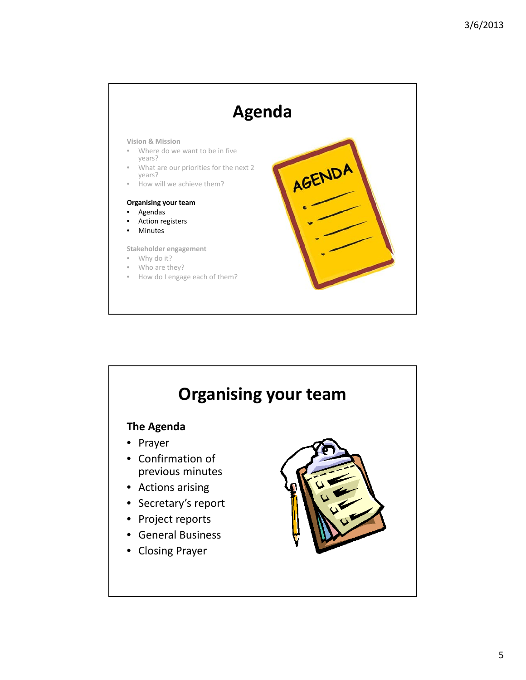

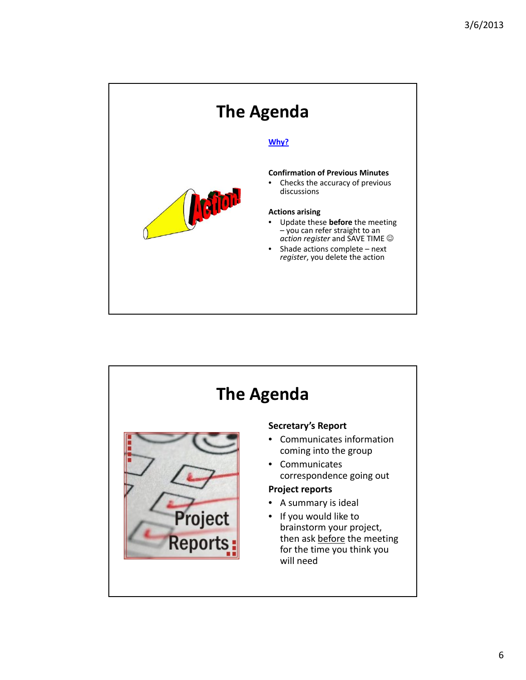

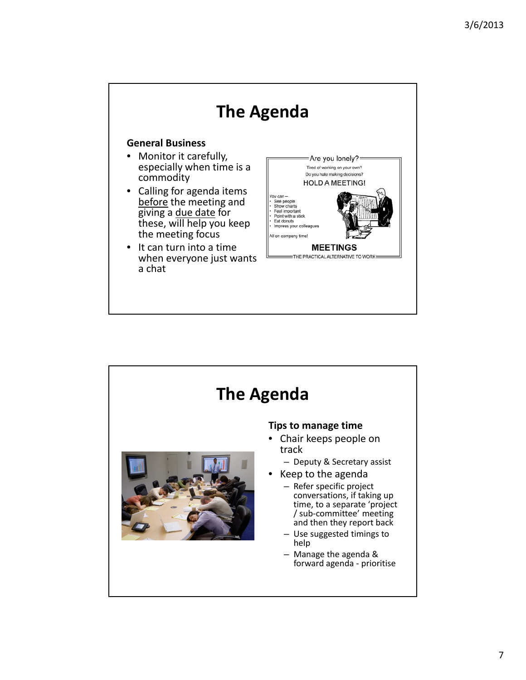

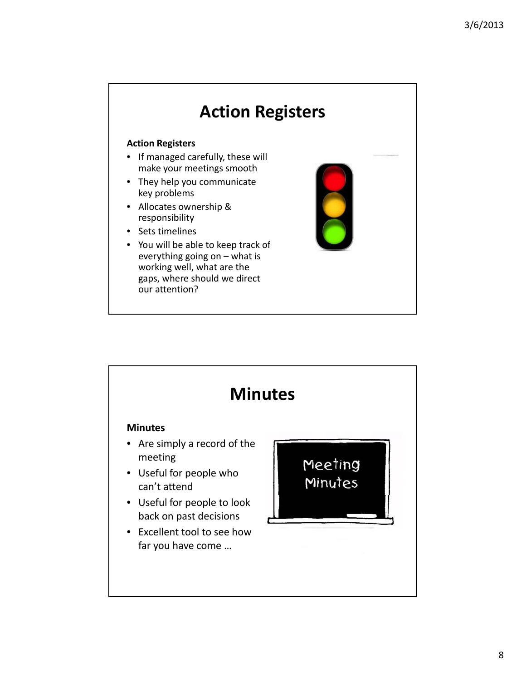## **Action Registers**

#### **Action Registers**

- If managed carefully, these will make your meetings smooth
- They help you communicate key problems
- Allocates ownership & responsibility
- Sets timelines
- You will be able to keep track of everything going on – what is working well, what are the gaps, where should we direct our attention?

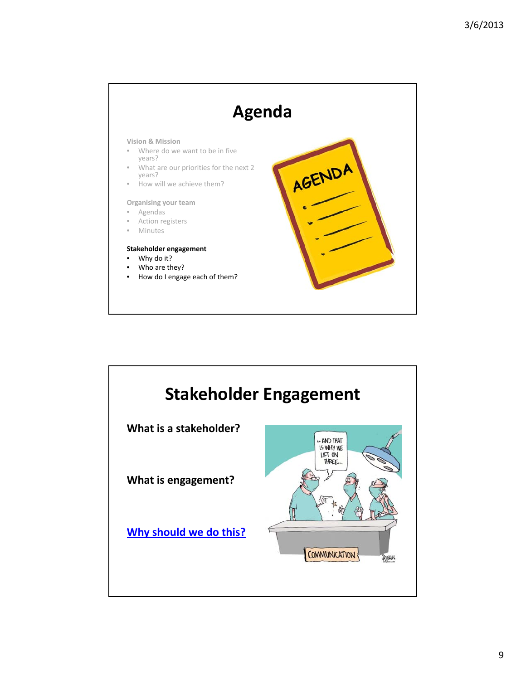

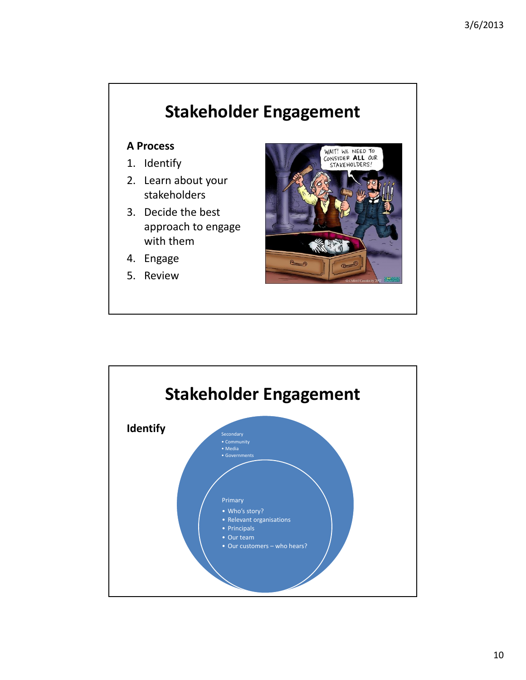# **Stakeholder Engagement**

### **A Process**

- 1. Identify
- 2. Learn about your stakeholders
- 3. Decide the best approach to engage with them
- 4. Engage
- 5. Review



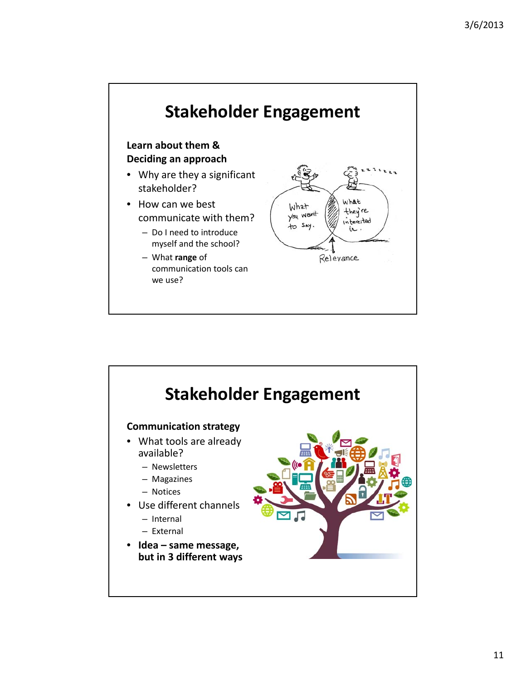